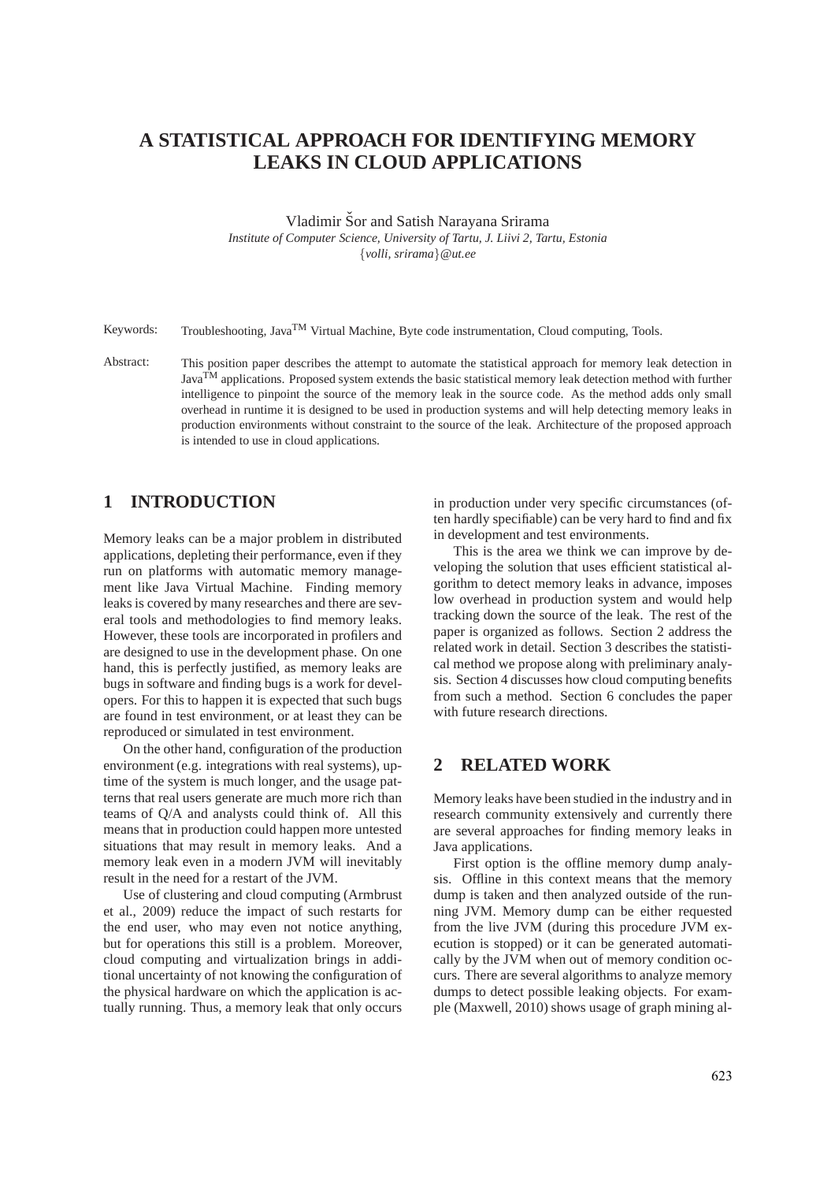# **A STATISTICAL APPROACH FOR IDENTIFYING MEMORY LEAKS IN CLOUD APPLICATIONS**

Vladimir Šor and Satish Narayana Srirama

*Institute of Computer Science, University of Tartu, J. Liivi 2, Tartu, Estonia* {*volli, srirama*}*@ut.ee*

Keywords: Troubleshooting, Java<sup>TM</sup> Virtual Machine, Byte code instrumentation, Cloud computing, Tools.

Abstract: This position paper describes the attempt to automate the statistical approach for memory leak detection in Java<sup>TM</sup> applications. Proposed system extends the basic statistical memory leak detection method with further intelligence to pinpoint the source of the memory leak in the source code. As the method adds only small overhead in runtime it is designed to be used in production systems and will help detecting memory leaks in production environments without constraint to the source of the leak. Architecture of the proposed approach is intended to use in cloud applications.

## **1 INTRODUCTION**

Memory leaks can be a major problem in distributed applications, depleting their performance, even if they run on platforms with automatic memory management like Java Virtual Machine. Finding memory leaks is covered by many researches and there are several tools and methodologies to find memory leaks. However, these tools are incorporated in profilers and are designed to use in the development phase. On one hand, this is perfectly justified, as memory leaks are bugs in software and finding bugs is a work for developers. For this to happen it is expected that such bugs are found in test environment, or at least they can be reproduced or simulated in test environment.

On the other hand, configuration of the production environment (e.g. integrations with real systems), uptime of the system is much longer, and the usage patterns that real users generate are much more rich than teams of Q/A and analysts could think of. All this means that in production could happen more untested situations that may result in memory leaks. And a memory leak even in a modern JVM will inevitably result in the need for a restart of the JVM.

Use of clustering and cloud computing (Armbrust et al., 2009) reduce the impact of such restarts for the end user, who may even not notice anything, but for operations this still is a problem. Moreover, cloud computing and virtualization brings in additional uncertainty of not knowing the configuration of the physical hardware on which the application is actually running. Thus, a memory leak that only occurs in production under very specific circumstances (often hardly specifiable) can be very hard to find and fix in development and test environments.

This is the area we think we can improve by developing the solution that uses efficient statistical algorithm to detect memory leaks in advance, imposes low overhead in production system and would help tracking down the source of the leak. The rest of the paper is organized as follows. Section 2 address the related work in detail. Section 3 describes the statistical method we propose along with preliminary analysis. Section 4 discusses how cloud computing benefits from such a method. Section 6 concludes the paper with future research directions.

### **2 RELATED WORK**

Memory leaks have been studied in the industry and in research community extensively and currently there are several approaches for finding memory leaks in Java applications.

First option is the offline memory dump analysis. Offline in this context means that the memory dump is taken and then analyzed outside of the running JVM. Memory dump can be either requested from the live JVM (during this procedure JVM execution is stopped) or it can be generated automatically by the JVM when out of memory condition occurs. There are several algorithms to analyze memory dumps to detect possible leaking objects. For example (Maxwell, 2010) shows usage of graph mining al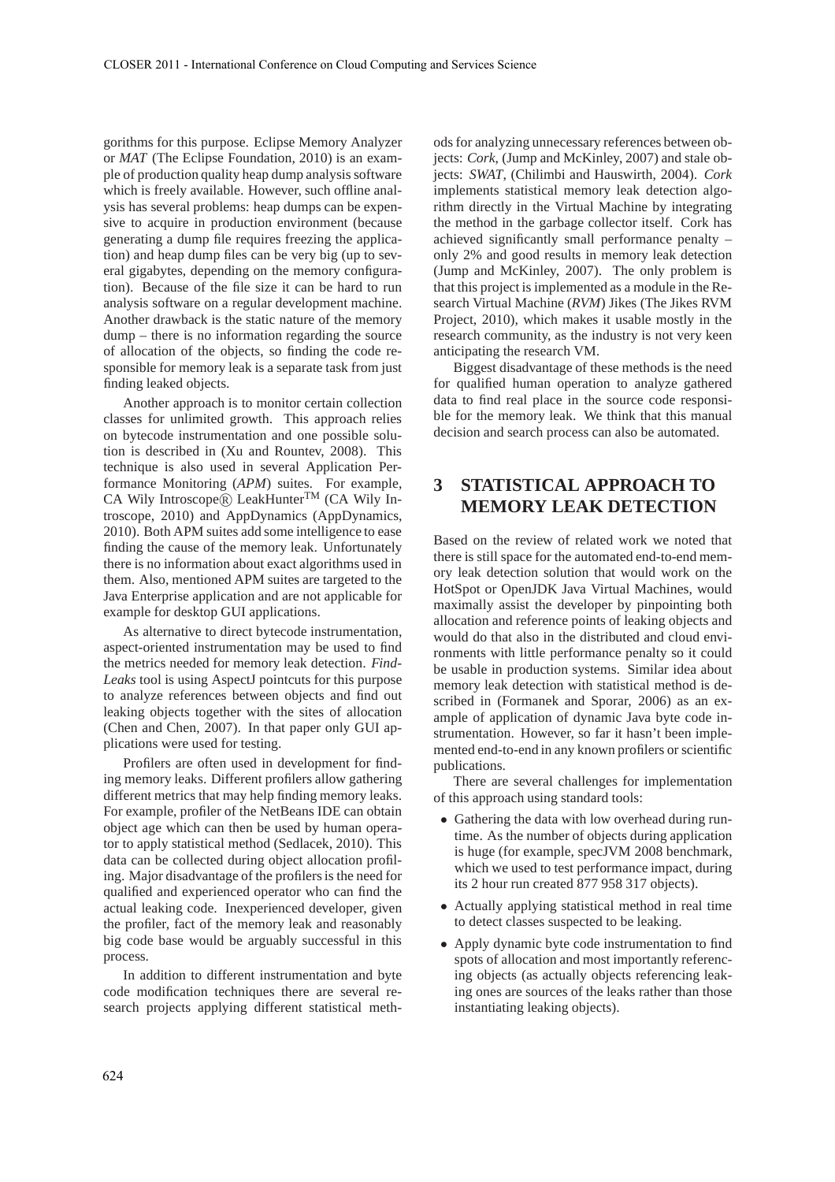gorithms for this purpose. Eclipse Memory Analyzer or *MAT* (The Eclipse Foundation, 2010) is an example of production quality heap dump analysis software which is freely available. However, such offline analysis has several problems: heap dumps can be expensive to acquire in production environment (because generating a dump file requires freezing the application) and heap dump files can be very big (up to several gigabytes, depending on the memory configuration). Because of the file size it can be hard to run analysis software on a regular development machine. Another drawback is the static nature of the memory dump – there is no information regarding the source of allocation of the objects, so finding the code responsible for memory leak is a separate task from just finding leaked objects.

Another approach is to monitor certain collection classes for unlimited growth. This approach relies on bytecode instrumentation and one possible solution is described in (Xu and Rountev, 2008). This technique is also used in several Application Performance Monitoring (*APM*) suites. For example, CA Wily Introscope® LeakHunter<sup>TM</sup> (CA Wily Introscope, 2010) and AppDynamics (AppDynamics, 2010). Both APM suites add some intelligence to ease finding the cause of the memory leak. Unfortunately there is no information about exact algorithms used in them. Also, mentioned APM suites are targeted to the Java Enterprise application and are not applicable for example for desktop GUI applications.

As alternative to direct bytecode instrumentation, aspect-oriented instrumentation may be used to find the metrics needed for memory leak detection. *Find-Leaks* tool is using AspectJ pointcuts for this purpose to analyze references between objects and find out leaking objects together with the sites of allocation (Chen and Chen, 2007). In that paper only GUI applications were used for testing.

Profilers are often used in development for finding memory leaks. Different profilers allow gathering different metrics that may help finding memory leaks. For example, profiler of the NetBeans IDE can obtain object age which can then be used by human operator to apply statistical method (Sedlacek, 2010). This data can be collected during object allocation profiling. Major disadvantage of the profilers is the need for qualified and experienced operator who can find the actual leaking code. Inexperienced developer, given the profiler, fact of the memory leak and reasonably big code base would be arguably successful in this process.

In addition to different instrumentation and byte code modification techniques there are several research projects applying different statistical methods for analyzing unnecessary references between objects: *Cork*, (Jump and McKinley, 2007) and stale objects: *SWAT*, (Chilimbi and Hauswirth, 2004). *Cork* implements statistical memory leak detection algorithm directly in the Virtual Machine by integrating the method in the garbage collector itself. Cork has achieved significantly small performance penalty – only 2% and good results in memory leak detection (Jump and McKinley, 2007). The only problem is that this project is implemented as a module in the Research Virtual Machine (*RVM*) Jikes (The Jikes RVM Project, 2010), which makes it usable mostly in the research community, as the industry is not very keen anticipating the research VM.

Biggest disadvantage of these methods is the need for qualified human operation to analyze gathered data to find real place in the source code responsible for the memory leak. We think that this manual decision and search process can also be automated.

## **3 STATISTICAL APPROACH TO MEMORY LEAK DETECTION**

Based on the review of related work we noted that there is still space for the automated end-to-end memory leak detection solution that would work on the HotSpot or OpenJDK Java Virtual Machines, would maximally assist the developer by pinpointing both allocation and reference points of leaking objects and would do that also in the distributed and cloud environments with little performance penalty so it could be usable in production systems. Similar idea about memory leak detection with statistical method is described in (Formanek and Sporar, 2006) as an example of application of dynamic Java byte code instrumentation. However, so far it hasn't been implemented end-to-end in any known profilers or scientific publications.

There are several challenges for implementation of this approach using standard tools:

- Gathering the data with low overhead during runtime. As the number of objects during application is huge (for example, specJVM 2008 benchmark, which we used to test performance impact, during its 2 hour run created 877 958 317 objects).
- Actually applying statistical method in real time to detect classes suspected to be leaking.
- Apply dynamic byte code instrumentation to find spots of allocation and most importantly referencing objects (as actually objects referencing leaking ones are sources of the leaks rather than those instantiating leaking objects).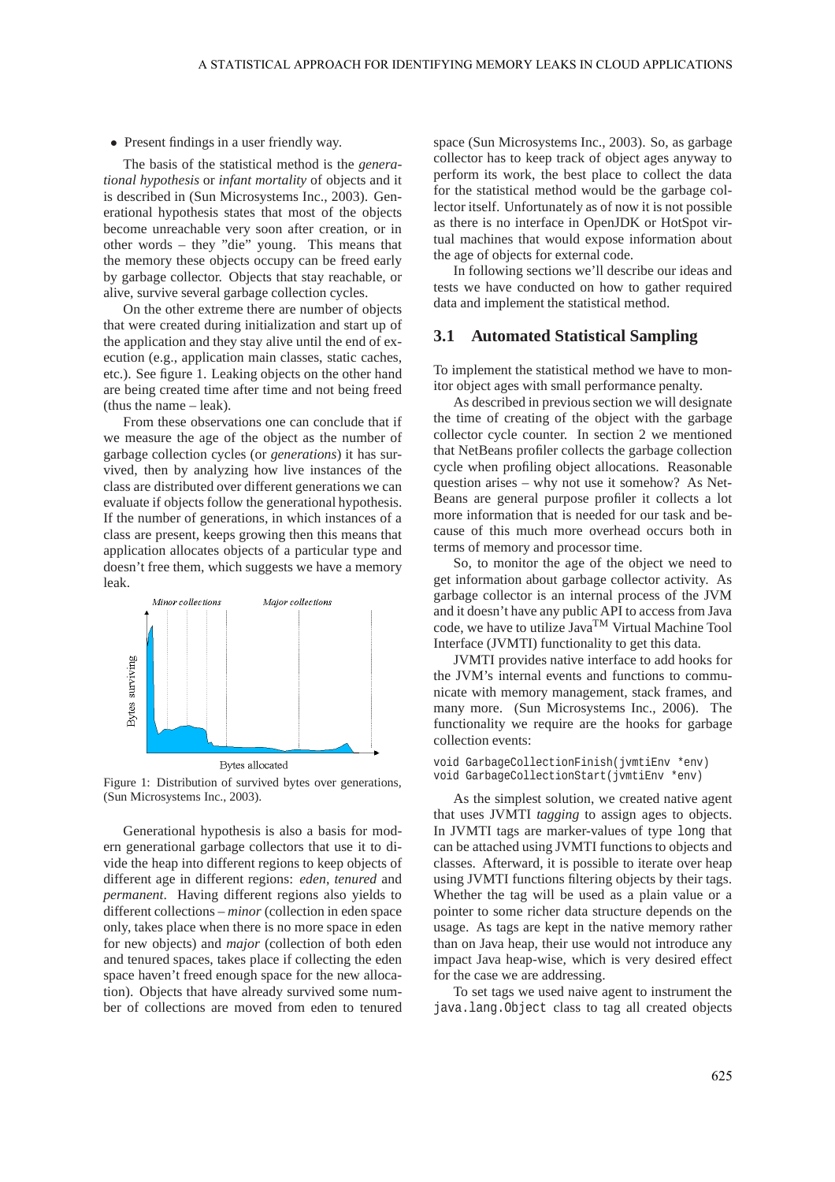• Present findings in a user friendly way.

The basis of the statistical method is the *generational hypothesis* or *infant mortality* of objects and it is described in (Sun Microsystems Inc., 2003). Generational hypothesis states that most of the objects become unreachable very soon after creation, or in other words – they "die" young. This means that the memory these objects occupy can be freed early by garbage collector. Objects that stay reachable, or alive, survive several garbage collection cycles.

On the other extreme there are number of objects that were created during initialization and start up of the application and they stay alive until the end of execution (e.g., application main classes, static caches, etc.). See figure 1. Leaking objects on the other hand are being created time after time and not being freed (thus the name – leak).

From these observations one can conclude that if we measure the age of the object as the number of garbage collection cycles (or *generations*) it has survived, then by analyzing how live instances of the class are distributed over different generations we can evaluate if objects follow the generational hypothesis. If the number of generations, in which instances of a class are present, keeps growing then this means that application allocates objects of a particular type and doesn't free them, which suggests we have a memory leak.



Figure 1: Distribution of survived bytes over generations, (Sun Microsystems Inc., 2003).

Generational hypothesis is also a basis for modern generational garbage collectors that use it to divide the heap into different regions to keep objects of different age in different regions: *eden*, *tenured* and *permanent*. Having different regions also yields to different collections – *minor* (collection in eden space only, takes place when there is no more space in eden for new objects) and *major* (collection of both eden and tenured spaces, takes place if collecting the eden space haven't freed enough space for the new allocation). Objects that have already survived some number of collections are moved from eden to tenured

space (Sun Microsystems Inc., 2003). So, as garbage collector has to keep track of object ages anyway to perform its work, the best place to collect the data for the statistical method would be the garbage collector itself. Unfortunately as of now it is not possible as there is no interface in OpenJDK or HotSpot virtual machines that would expose information about the age of objects for external code.

In following sections we'll describe our ideas and tests we have conducted on how to gather required data and implement the statistical method.

#### **3.1 Automated Statistical Sampling**

To implement the statistical method we have to monitor object ages with small performance penalty.

As described in previous section we will designate the time of creating of the object with the garbage collector cycle counter. In section 2 we mentioned that NetBeans profiler collects the garbage collection cycle when profiling object allocations. Reasonable question arises – why not use it somehow? As Net-Beans are general purpose profiler it collects a lot more information that is needed for our task and because of this much more overhead occurs both in terms of memory and processor time.

So, to monitor the age of the object we need to get information about garbage collector activity. As garbage collector is an internal process of the JVM and it doesn't have any public API to access from Java code, we have to utilize JavaTM Virtual Machine Tool Interface (JVMTI) functionality to get this data.

JVMTI provides native interface to add hooks for the JVM's internal events and functions to communicate with memory management, stack frames, and many more. (Sun Microsystems Inc., 2006). The functionality we require are the hooks for garbage collection events:

```
void GarbageCollectionFinish(jvmtiEnv *env)
void GarbageCollectionStart(jvmtiEnv *env)
```
As the simplest solution, we created native agent that uses JVMTI *tagging* to assign ages to objects. In JVMTI tags are marker-values of type long that can be attached using JVMTI functions to objects and classes. Afterward, it is possible to iterate over heap using JVMTI functions filtering objects by their tags. Whether the tag will be used as a plain value or a pointer to some richer data structure depends on the usage. As tags are kept in the native memory rather than on Java heap, their use would not introduce any impact Java heap-wise, which is very desired effect for the case we are addressing.

To set tags we used naive agent to instrument the java.lang.Object class to tag all created objects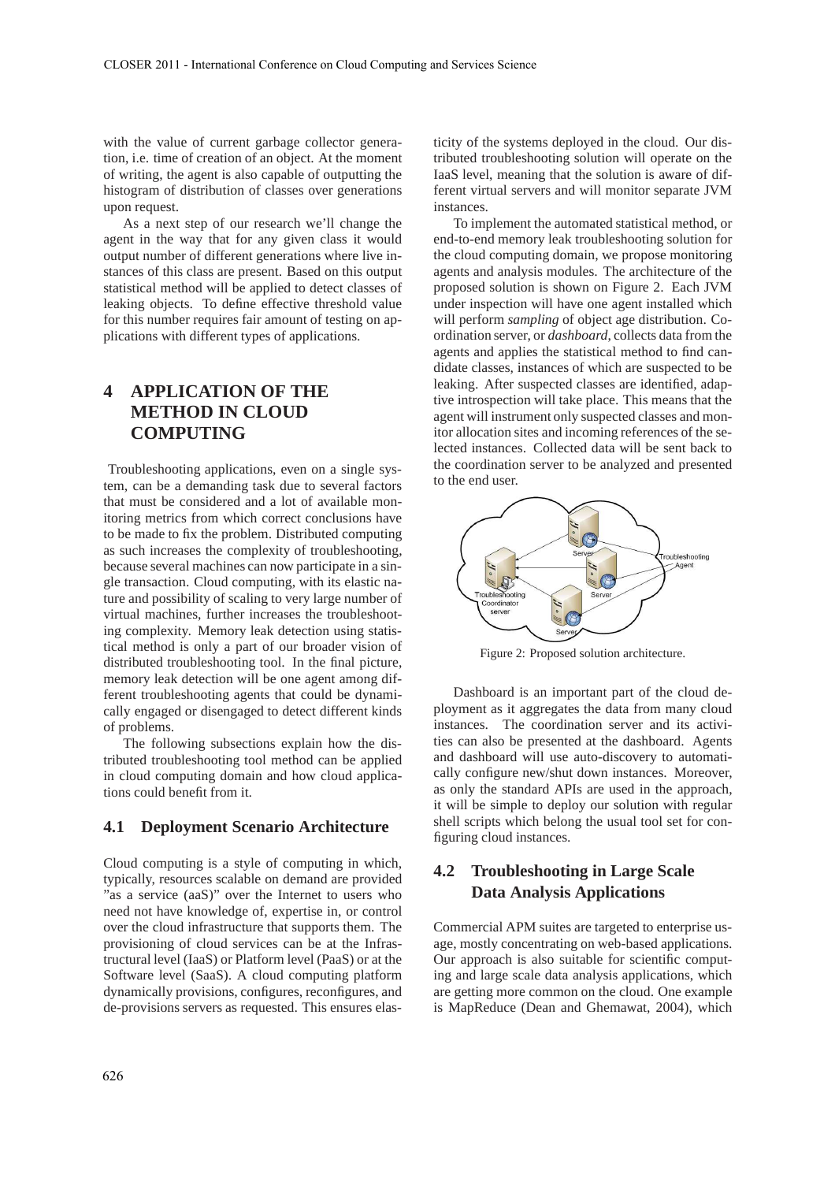with the value of current garbage collector generation, i.e. time of creation of an object. At the moment of writing, the agent is also capable of outputting the histogram of distribution of classes over generations upon request.

As a next step of our research we'll change the agent in the way that for any given class it would output number of different generations where live instances of this class are present. Based on this output statistical method will be applied to detect classes of leaking objects. To define effective threshold value for this number requires fair amount of testing on applications with different types of applications.

# **4 APPLICATION OF THE METHOD IN CLOUD COMPUTING**

Troubleshooting applications, even on a single system, can be a demanding task due to several factors that must be considered and a lot of available monitoring metrics from which correct conclusions have to be made to fix the problem. Distributed computing as such increases the complexity of troubleshooting, because several machines can now participate in a single transaction. Cloud computing, with its elastic nature and possibility of scaling to very large number of virtual machines, further increases the troubleshooting complexity. Memory leak detection using statistical method is only a part of our broader vision of distributed troubleshooting tool. In the final picture, memory leak detection will be one agent among different troubleshooting agents that could be dynamically engaged or disengaged to detect different kinds of problems.

The following subsections explain how the distributed troubleshooting tool method can be applied in cloud computing domain and how cloud applications could benefit from it.

#### **4.1 Deployment Scenario Architecture**

Cloud computing is a style of computing in which, typically, resources scalable on demand are provided "as a service (aaS)" over the Internet to users who need not have knowledge of, expertise in, or control over the cloud infrastructure that supports them. The provisioning of cloud services can be at the Infrastructural level (IaaS) or Platform level (PaaS) or at the Software level (SaaS). A cloud computing platform dynamically provisions, configures, reconfigures, and de-provisions servers as requested. This ensures elasticity of the systems deployed in the cloud. Our distributed troubleshooting solution will operate on the IaaS level, meaning that the solution is aware of different virtual servers and will monitor separate JVM instances.

To implement the automated statistical method, or end-to-end memory leak troubleshooting solution for the cloud computing domain, we propose monitoring agents and analysis modules. The architecture of the proposed solution is shown on Figure 2. Each JVM under inspection will have one agent installed which will perform *sampling* of object age distribution. Coordination server, or *dashboard*, collects data from the agents and applies the statistical method to find candidate classes, instances of which are suspected to be leaking. After suspected classes are identified, adaptive introspection will take place. This means that the agent will instrument only suspected classes and monitor allocation sites and incoming references of the selected instances. Collected data will be sent back to the coordination server to be analyzed and presented to the end user.



Figure 2: Proposed solution architecture.

Dashboard is an important part of the cloud deployment as it aggregates the data from many cloud instances. The coordination server and its activities can also be presented at the dashboard. Agents and dashboard will use auto-discovery to automatically configure new/shut down instances. Moreover, as only the standard APIs are used in the approach, it will be simple to deploy our solution with regular shell scripts which belong the usual tool set for configuring cloud instances.

## **4.2 Troubleshooting in Large Scale Data Analysis Applications**

Commercial APM suites are targeted to enterprise usage, mostly concentrating on web-based applications. Our approach is also suitable for scientific computing and large scale data analysis applications, which are getting more common on the cloud. One example is MapReduce (Dean and Ghemawat, 2004), which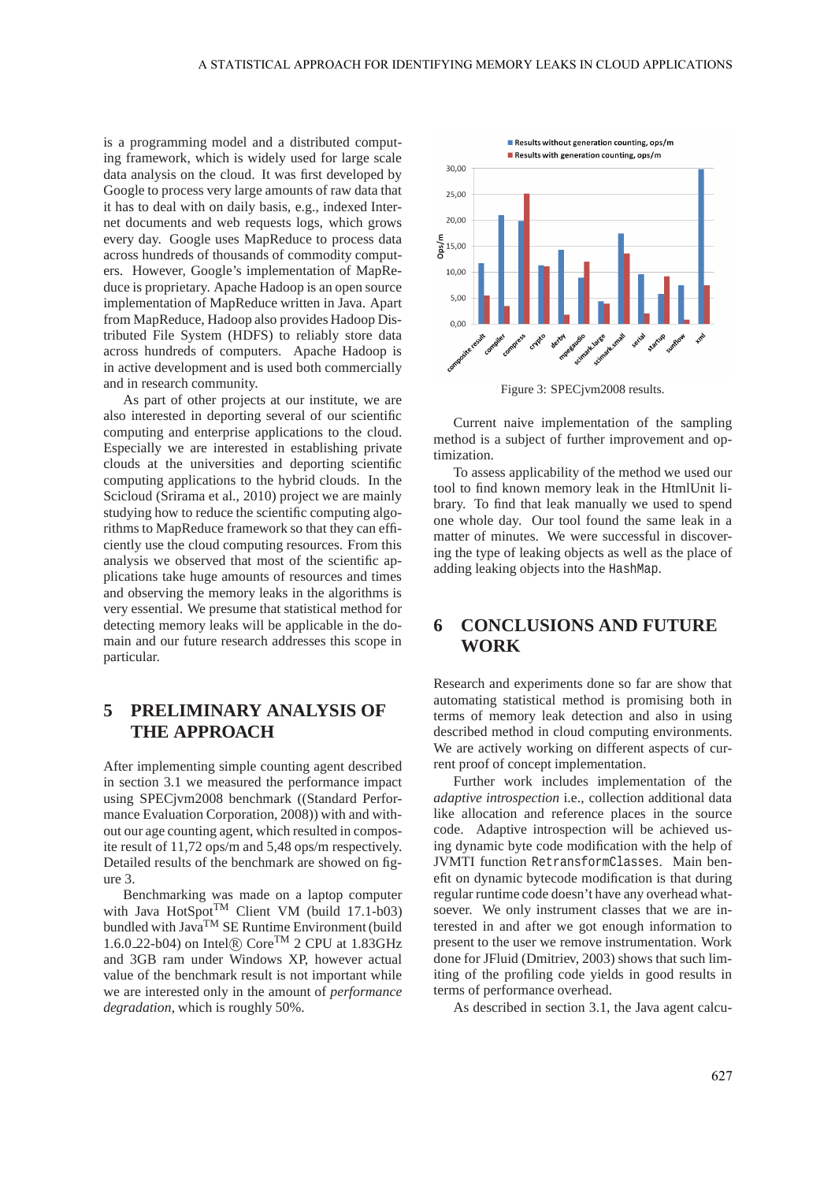is a programming model and a distributed computing framework, which is widely used for large scale data analysis on the cloud. It was first developed by Google to process very large amounts of raw data that it has to deal with on daily basis, e.g., indexed Internet documents and web requests logs, which grows every day. Google uses MapReduce to process data across hundreds of thousands of commodity computers. However, Google's implementation of MapReduce is proprietary. Apache Hadoop is an open source implementation of MapReduce written in Java. Apart from MapReduce, Hadoop also provides Hadoop Distributed File System (HDFS) to reliably store data across hundreds of computers. Apache Hadoop is in active development and is used both commercially and in research community.

As part of other projects at our institute, we are also interested in deporting several of our scientific computing and enterprise applications to the cloud. Especially we are interested in establishing private clouds at the universities and deporting scientific computing applications to the hybrid clouds. In the Scicloud (Srirama et al., 2010) project we are mainly studying how to reduce the scientific computing algorithms to MapReduce framework so that they can efficiently use the cloud computing resources. From this analysis we observed that most of the scientific applications take huge amounts of resources and times and observing the memory leaks in the algorithms is very essential. We presume that statistical method for detecting memory leaks will be applicable in the domain and our future research addresses this scope in particular.

# **5 PRELIMINARY ANALYSIS OF THE APPROACH**

After implementing simple counting agent described in section 3.1 we measured the performance impact using SPECjvm2008 benchmark ((Standard Performance Evaluation Corporation, 2008)) with and without our age counting agent, which resulted in composite result of 11,72 ops/m and 5,48 ops/m respectively. Detailed results of the benchmark are showed on figure 3.

Benchmarking was made on a laptop computer with Java HotSpot<sup>TM</sup> Client VM (build 17.1-b03) bundled with Java<sup>TM</sup> SE Runtime Environment (build 1.6.0.22-b04) on Intel® Core<sup>TM</sup> 2 CPU at 1.83GHz and 3GB ram under Windows XP, however actual value of the benchmark result is not important while we are interested only in the amount of *performance degradation*, which is roughly 50%.



Figure 3: SPECjvm2008 results.

Current naive implementation of the sampling method is a subject of further improvement and optimization.

To assess applicability of the method we used our tool to find known memory leak in the HtmlUnit library. To find that leak manually we used to spend one whole day. Our tool found the same leak in a matter of minutes. We were successful in discovering the type of leaking objects as well as the place of adding leaking objects into the HashMap.

## **6 CONCLUSIONS AND FUTURE WORK**

Research and experiments done so far are show that automating statistical method is promising both in terms of memory leak detection and also in using described method in cloud computing environments. We are actively working on different aspects of current proof of concept implementation.

Further work includes implementation of the *adaptive introspection* i.e., collection additional data like allocation and reference places in the source code. Adaptive introspection will be achieved using dynamic byte code modification with the help of JVMTI function RetransformClasses. Main benefit on dynamic bytecode modification is that during regular runtime code doesn't have any overhead whatsoever. We only instrument classes that we are interested in and after we got enough information to present to the user we remove instrumentation. Work done for JFluid (Dmitriev, 2003) shows that such limiting of the profiling code yields in good results in terms of performance overhead.

As described in section 3.1, the Java agent calcu-